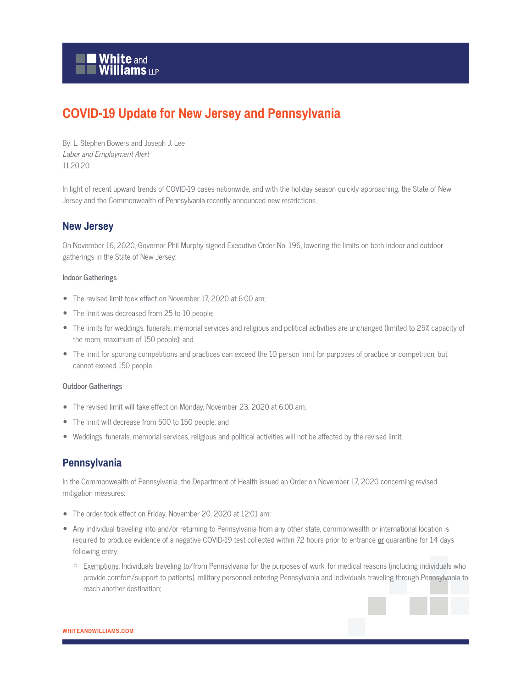

# **COVID-19 Update for New Jersey and Pennsylvania**

By: L. Stephen Bowers and Joseph J. Lee Labor and Employment Alert 11.20.20

In light of recent upward trends of COVID-19 cases nationwide, and with the holiday season quickly approaching, the State of New Jersey and the Commonwealth of Pennsylvania recently announced new restrictions.

## **New Jersey**

On November 16, 2020, Governor Phil Murphy signed Executive Order No. 196, lowering the limits on both indoor and outdoor gatherings in the State of New Jersey:

#### **Indoor Gatherings**

- The revised limit took effect on November 17, 2020 at 6:00 am;
- The limit was decreased from 25 to 10 people;
- The limits for weddings, funerals, memorial services and religious and political activities are unchanged (limited to 25% capacity of the room, maximum of 150 people); and
- The limit for sporting competitions and practices can exceed the 10 person limit for purposes of practice or competition, but cannot exceed 150 people.

#### **Outdoor Gatherings**

- The revised limit will take effect on Monday, November 23, 2020 at 6:00 am;
- The limit will decrease from 500 to 150 people; and
- Weddings, funerals, memorial services, religious and political activities will not be affected by the revised limit.

### **Pennsylvania**

In the Commonwealth of Pennsylvania, the Department of Health issued an Order on November 17, 2020 concerning revised mitigation measures:

- The order took effect on Friday, November 20, 2020 at 12:01 am;
- Any individual traveling into and/or returning to Pennsylvania from any other state, commonwealth or international location is required to produce evidence of a negative COVID-19 test collected within 72 hours prior to entrance **or** quarantine for 14 days following entry
	- Exemptions: Individuals traveling to/from Pennsylvania for the purposes of work, for medical reasons (including individuals who provide comfort/support to patients), military personnel entering Pennsylvania and individuals traveling through Pennsylvania to reach another destination;